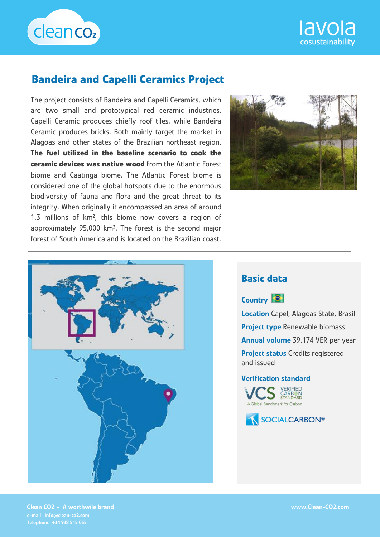



# **Bandeira and Capelli Ceramics Project**

The project consists of Bandeira and Capelli Ceramics, which are two small and prototypical red ceramic industries. Capelli Ceramic produces chiefly roof tiles, while Bandeira Ceramic produces bricks. Both mainly target the market in Alagoas and other states of the Brazilian northeast region. **The fuel utilized in the baseline scenario to cook the ceramic devices was native wood** from the Atlantic Forest biome and Caatinga biome. The Atlantic Forest biome is considered one of the global hotspots due to the enormous biodiversity of fauna and flora and the great threat to its integrity. When originally it encompassed an area of around 1.3 millions of km², this biome now covers a region of approximately 95,000 km². The forest is the second major forest of South America and is located on the Brazilian coast.





### **Basic data**

Country **C** 

Location Capel, Alagoas State, Brasil Project type Renewable biomass Annual volume 39.174 VER per year Project status Credits registered and issued

Verification standard





Clean CO2 - A worthwile brand e-mail info@clean-co2.com Telephone +34 938 515 055